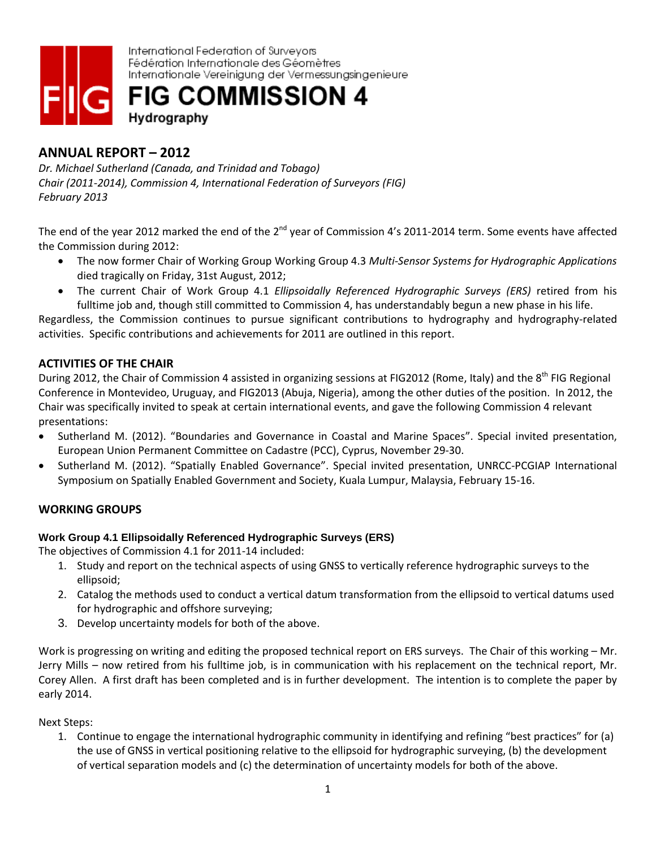

# **ANNUAL REPORT – 2012**

*Dr. Michael Sutherland (Canada, and Trinidad and Tobago) Chair (2011-2014), Commission 4, International Federation of Surveyors (FIG) February 2013*

The end of the year 2012 marked the end of the 2<sup>nd</sup> year of Commission 4's 2011-2014 term. Some events have affected the Commission during 2012:

- The now former Chair of Working Group Working Group 4.3 *Multi-Sensor Systems for Hydrographic Applications* died tragically on Friday, 31st August, 2012;
- The current Chair of Work Group 4.1 *Ellipsoidally Referenced Hydrographic Surveys (ERS)* retired from his fulltime job and, though still committed to Commission 4, has understandably begun a new phase in his life.

Regardless, the Commission continues to pursue significant contributions to hydrography and hydrography-related activities. Specific contributions and achievements for 2011 are outlined in this report.

# **ACTIVITIES OF THE CHAIR**

During 2012, the Chair of Commission 4 assisted in organizing sessions at FIG2012 (Rome, Italy) and the 8<sup>th</sup> FIG Regional Conference in Montevideo, Uruguay, and FIG2013 (Abuja, Nigeria), among the other duties of the position. In 2012, the Chair was specifically invited to speak at certain international events, and gave the following Commission 4 relevant presentations:

- Sutherland M. (2012). "Boundaries and Governance in Coastal and Marine Spaces". Special invited presentation, European Union Permanent Committee on Cadastre (PCC), Cyprus, November 29-30.
- Sutherland M. (2012). "Spatially Enabled Governance". Special invited presentation, UNRCC-PCGIAP International Symposium on Spatially Enabled Government and Society, Kuala Lumpur, Malaysia, February 15-16.

# **WORKING GROUPS**

## **Work Group 4.1 Ellipsoidally Referenced Hydrographic Surveys (ERS)**

The objectives of Commission 4.1 for 2011-14 included:

- 1. Study and report on the technical aspects of using GNSS to vertically reference hydrographic surveys to the ellipsoid;
- 2. Catalog the methods used to conduct a vertical datum transformation from the ellipsoid to vertical datums used for hydrographic and offshore surveying;
- 3. Develop uncertainty models for both of the above.

Work is progressing on writing and editing the proposed technical report on ERS surveys. The Chair of this working – Mr. Jerry Mills – now retired from his fulltime job, is in communication with his replacement on the technical report, Mr. Corey Allen. A first draft has been completed and is in further development. The intention is to complete the paper by early 2014.

Next Steps:

1. Continue to engage the international hydrographic community in identifying and refining "best practices" for (a) the use of GNSS in vertical positioning relative to the ellipsoid for hydrographic surveying, (b) the development of vertical separation models and (c) the determination of uncertainty models for both of the above.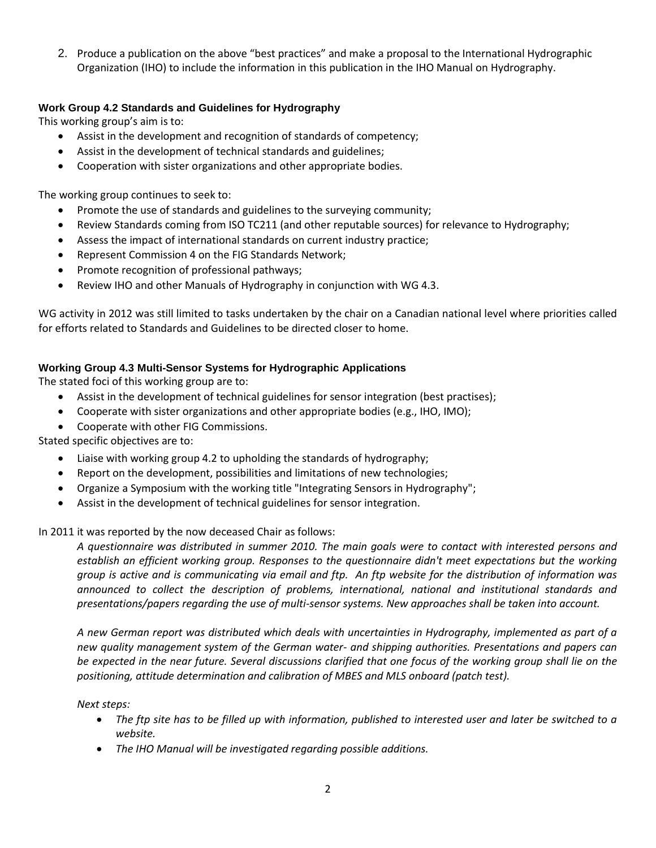2. Produce a publication on the above "best practices" and make a proposal to the International Hydrographic Organization (IHO) to include the information in this publication in the IHO Manual on Hydrography.

## **Work Group 4.2 Standards and Guidelines for Hydrography**

This working group's aim is to:

- Assist in the development and recognition of standards of competency;
- Assist in the development of technical standards and guidelines;
- Cooperation with sister organizations and other appropriate bodies.

The working group continues to seek to:

- Promote the use of standards and guidelines to the surveying community;
- Review Standards coming from ISO TC211 (and other reputable sources) for relevance to Hydrography;
- Assess the impact of international standards on current industry practice;
- Represent Commission 4 on the FIG Standards Network;
- Promote recognition of professional pathways;
- Review IHO and other Manuals of Hydrography in conjunction with WG 4.3.

WG activity in 2012 was still limited to tasks undertaken by the chair on a Canadian national level where priorities called for efforts related to Standards and Guidelines to be directed closer to home.

## **Working Group 4.3 Multi-Sensor Systems for Hydrographic Applications**

The stated foci of this working group are to:

- Assist in the development of technical guidelines for sensor integration (best practises);
- Cooperate with sister organizations and other appropriate bodies (e.g., IHO, IMO);
- Cooperate with other FIG Commissions.

Stated specific objectives are to:

- Liaise with working group 4.2 to upholding the standards of hydrography;
- Report on the development, possibilities and limitations of new technologies;
- Organize a Symposium with the working title "Integrating Sensors in Hydrography";
- Assist in the development of technical guidelines for sensor integration.

In 2011 it was reported by the now deceased Chair as follows:

*A questionnaire was distributed in summer 2010. The main goals were to contact with interested persons and establish an efficient working group. Responses to the questionnaire didn't meet expectations but the working group is active and is communicating via email and ftp. An ftp website for the distribution of information was announced to collect the description of problems, international, national and institutional standards and presentations/papers regarding the use of multi-sensor systems. New approaches shall be taken into account.* 

*A new German report was distributed which deals with uncertainties in Hydrography, implemented as part of a new quality management system of the German water- and shipping authorities. Presentations and papers can be expected in the near future. Several discussions clarified that one focus of the working group shall lie on the positioning, attitude determination and calibration of MBES and MLS onboard (patch test).* 

## *Next steps:*

- *The ftp site has to be filled up with information, published to interested user and later be switched to a website.*
- *The IHO Manual will be investigated regarding possible additions.*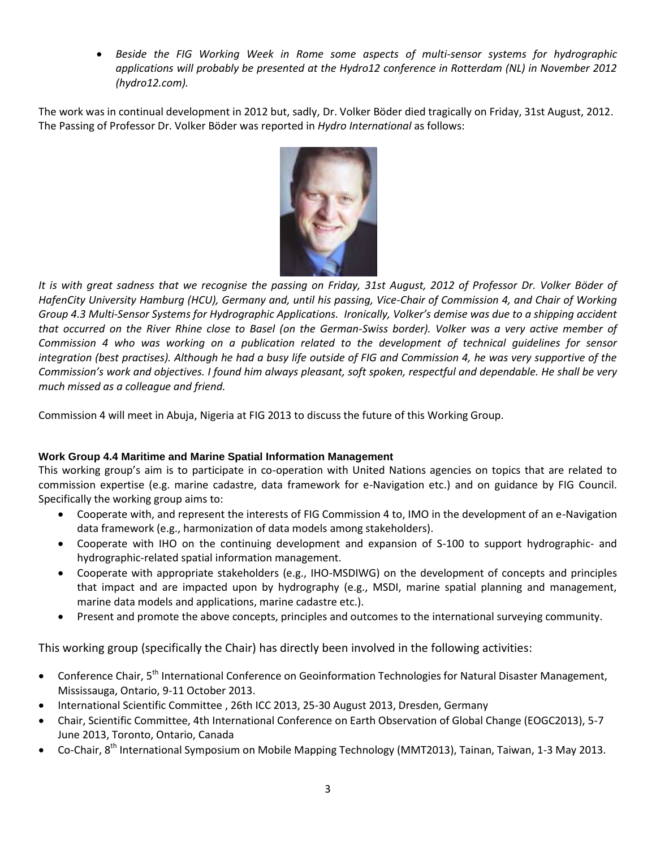*Beside the FIG Working Week in Rome some aspects of multi-sensor systems for hydrographic applications will probably be presented at the Hydro12 conference in Rotterdam (NL) in November 2012 (hydro12.com).*

The work was in continual development in 2012 but, sadly, Dr. Volker Böder died tragically on Friday, 31st August, 2012. The Passing of Professor Dr. Volker Böder was reported in *Hydro International* as follows:



*It is with great sadness that we recognise the passing on Friday, 31st August, 2012 of Professor Dr. Volker Böder of HafenCity University Hamburg (HCU), Germany and, until his passing, Vice-Chair of Commission 4, and Chair of Working Group 4.3 Multi-Sensor Systems for Hydrographic Applications. Ironically, Volker's demise was due to a shipping accident that occurred on the River Rhine close to Basel (on the German-Swiss border). Volker was a very active member of Commission 4 who was working on a publication related to the development of technical guidelines for sensor integration (best practises). Although he had a busy life outside of FIG and Commission 4, he was very supportive of the Commission's work and objectives. I found him always pleasant, soft spoken, respectful and dependable. He shall be very much missed as a colleague and friend.*

Commission 4 will meet in Abuja, Nigeria at FIG 2013 to discuss the future of this Working Group.

## **Work Group 4.4 Maritime and Marine Spatial Information Management**

This working group's aim is to participate in co-operation with United Nations agencies on topics that are related to commission expertise (e.g. marine cadastre, data framework for e-Navigation etc.) and on guidance by FIG Council. Specifically the working group aims to:

- Cooperate with, and represent the interests of FIG Commission 4 to, IMO in the development of an e-Navigation data framework (e.g., harmonization of data models among stakeholders).
- Cooperate with IHO on the continuing development and expansion of S-100 to support hydrographic- and hydrographic-related spatial information management.
- Cooperate with appropriate stakeholders (e.g., IHO-MSDIWG) on the development of concepts and principles that impact and are impacted upon by hydrography (e.g., MSDI, marine spatial planning and management, marine data models and applications, marine cadastre etc.).
- Present and promote the above concepts, principles and outcomes to the international surveying community.

This working group (specifically the Chair) has directly been involved in the following activities:

- Conference Chair, 5<sup>th</sup> International Conference on Geoinformation Technologies for Natural Disaster Management, Mississauga, Ontario, 9-11 October 2013.
- International Scientific Committee , 26th ICC 2013, 25-30 August 2013, Dresden, Germany
- Chair, Scientific Committee, 4th International Conference on Earth Observation of Global Change (EOGC2013), 5-7 June 2013, Toronto, Ontario, Canada
- Co-Chair, 8<sup>th</sup> International Symposium on Mobile Mapping Technology (MMT2013), Tainan, Taiwan, 1-3 May 2013.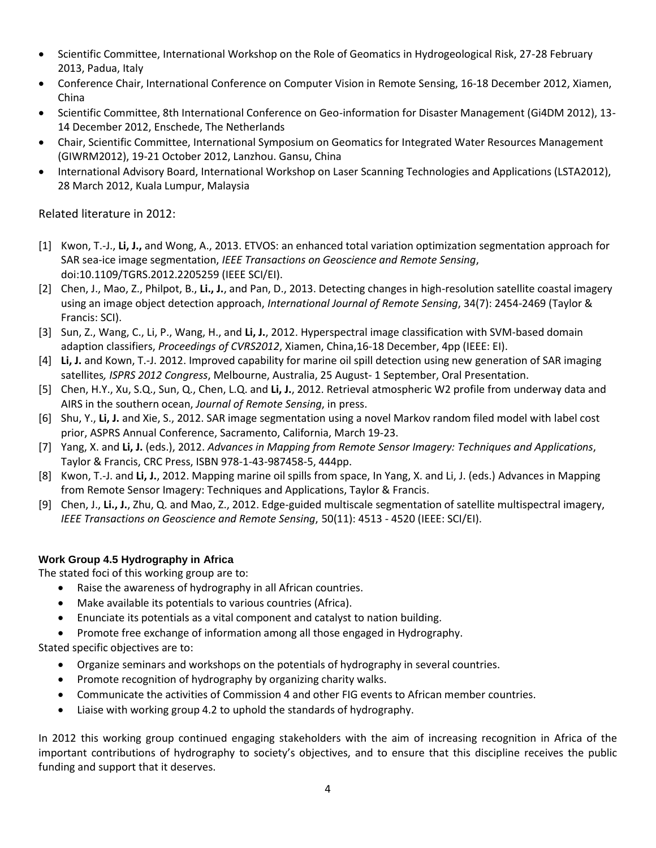- Scientific Committee, International Workshop on the Role of Geomatics in Hydrogeological Risk, 27-28 February 2013, Padua, Italy
- Conference Chair, International Conference on Computer Vision in Remote Sensing, 16-18 December 2012, Xiamen, China
- Scientific Committee, 8th International Conference on Geo-information for Disaster Management (Gi4DM 2012), 13- 14 December 2012, Enschede, The Netherlands
- Chair, Scientific Committee, International Symposium on Geomatics for Integrated Water Resources Management (GIWRM2012), 19-21 October 2012, Lanzhou. Gansu, China
- International Advisory Board, International Workshop on Laser Scanning Technologies and Applications (LSTA2012), 28 March 2012, Kuala Lumpur, Malaysia

# Related literature in 2012:

- [1] Kwon, T.-J., **Li, J.,** and Wong, A., 2013. ETVOS: an enhanced total variation optimization segmentation approach for SAR sea-ice image segmentation, *IEEE Transactions on Geoscience and Remote Sensing*, doi:10.1109/TGRS.2012.2205259 (IEEE SCI/EI).
- [2] Chen, J., Mao, Z., Philpot, B., **Li., J.**, and Pan, D., 2013. Detecting changes in high-resolution satellite coastal imagery using an image object detection approach, *International Journal of Remote Sensing*, 34(7): 2454-2469 (Taylor & Francis: SCI).
- [3] Sun, Z., Wang, C., Li, P., Wang, H., and **Li, J.**, 2012. Hyperspectral image classification with SVM-based domain adaption classifiers, *Proceedings of CVRS2012*, Xiamen, China,16-18 December, 4pp (IEEE: EI).
- [4] **Li, J.** and Kown, T.-J. 2012. Improved capability for marine oil spill detection using new generation of SAR imaging satellites*, ISPRS 2012 Congress*, Melbourne, Australia, 25 August- 1 September, Oral Presentation.
- [5] Chen, H.Y., Xu, S.Q., Sun, Q., Chen, L.Q. and **Li, J.**, 2012. Retrieval atmospheric W2 profile from underway data and AIRS in the southern ocean, *Journal of Remote Sensing*, in press.
- [6] Shu, Y., **Li, J.** and Xie, S., 2012. SAR image segmentation using a novel Markov random filed model with label cost prior, ASPRS Annual Conference, Sacramento, California, March 19-23.
- [7] Yang, X. and **Li, J.** (eds.), 2012. *Advances in Mapping from Remote Sensor Imagery: Techniques and Applications*, Taylor & Francis, CRC Press, ISBN 978-1-43-987458-5, 444pp.
- [8] Kwon, T.-J. and **Li, J.**, 2012. Mapping marine oil spills from space, In Yang, X. and Li, J. (eds.) Advances in Mapping from Remote Sensor Imagery: Techniques and Applications, Taylor & Francis.
- [9] Chen, J., **Li., J.**, Zhu, Q. and Mao, Z., 2012. Edge-guided multiscale segmentation of satellite multispectral imagery, *IEEE Transactions on Geoscience and Remote Sensing*, 50(11): 4513 - 4520 (IEEE: SCI/EI).

# **Work Group 4.5 Hydrography in Africa**

The stated foci of this working group are to:

- Raise the awareness of hydrography in all African countries.
- Make available its potentials to various countries (Africa).
- Enunciate its potentials as a vital component and catalyst to nation building.
- Promote free exchange of information among all those engaged in Hydrography.

Stated specific objectives are to:

- Organize seminars and workshops on the potentials of hydrography in several countries.
- Promote recognition of hydrography by organizing charity walks.
- Communicate the activities of Commission 4 and other FIG events to African member countries.
- Liaise with working group 4.2 to uphold the standards of hydrography.

In 2012 this working group continued engaging stakeholders with the aim of increasing recognition in Africa of the important contributions of hydrography to society's objectives, and to ensure that this discipline receives the public funding and support that it deserves.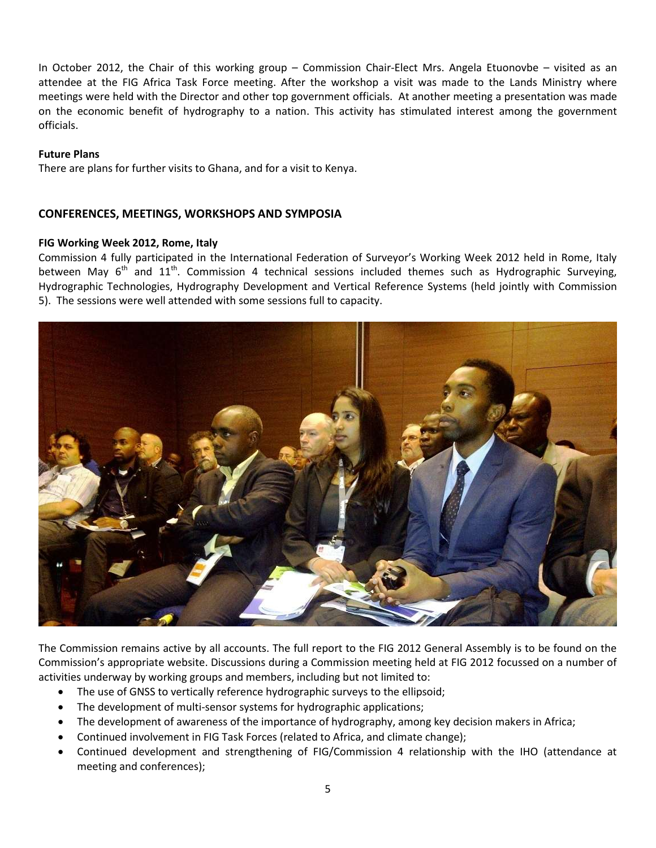In October 2012, the Chair of this working group – Commission Chair-Elect Mrs. Angela Etuonovbe – visited as an attendee at the FIG Africa Task Force meeting. After the workshop a visit was made to the Lands Ministry where meetings were held with the Director and other top government officials. At another meeting a presentation was made on the economic benefit of hydrography to a nation. This activity has stimulated interest among the government officials.

#### **Future Plans**

There are plans for further visits to Ghana, and for a visit to Kenya.

## **CONFERENCES, MEETINGS, WORKSHOPS AND SYMPOSIA**

#### **FIG Working Week 2012, Rome, Italy**

Commission 4 fully participated in the International Federation of Surveyor's Working Week 2012 held in Rome, Italy between May  $6<sup>th</sup>$  and  $11<sup>th</sup>$ . Commission 4 technical sessions included themes such as Hydrographic Surveying, Hydrographic Technologies, Hydrography Development and Vertical Reference Systems (held jointly with Commission 5). The sessions were well attended with some sessions full to capacity.



The Commission remains active by all accounts. The full report to the FIG 2012 General Assembly is to be found on the Commission's appropriate website. Discussions during a Commission meeting held at FIG 2012 focussed on a number of activities underway by working groups and members, including but not limited to:

- The use of GNSS to vertically reference hydrographic surveys to the ellipsoid;
- The development of multi-sensor systems for hydrographic applications;
- The development of awareness of the importance of hydrography, among key decision makers in Africa;
- Continued involvement in FIG Task Forces (related to Africa, and climate change);
- Continued development and strengthening of FIG/Commission 4 relationship with the IHO (attendance at meeting and conferences);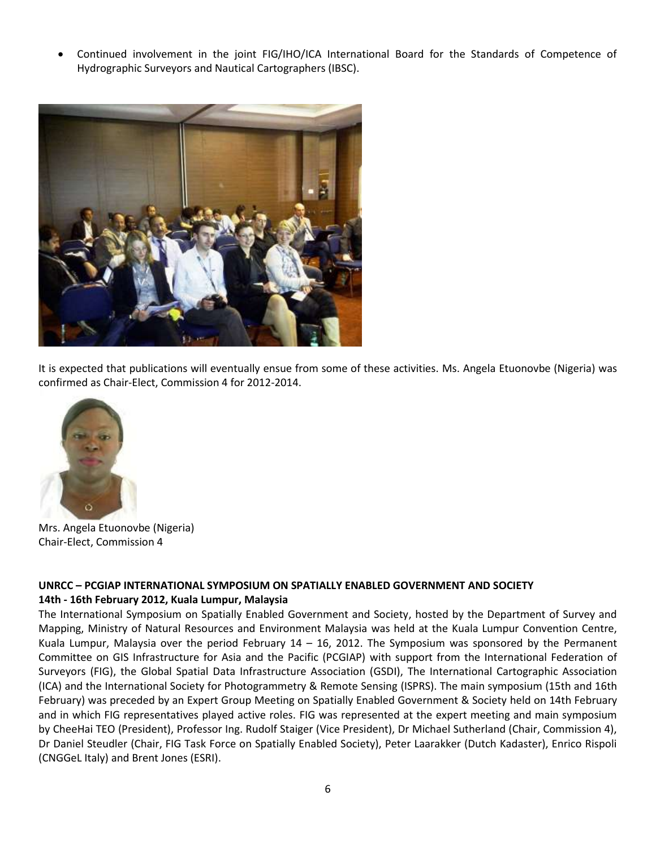Continued involvement in the joint FIG/IHO/ICA International Board for the Standards of Competence of Hydrographic Surveyors and Nautical Cartographers (IBSC).



It is expected that publications will eventually ensue from some of these activities. Ms. Angela Etuonovbe (Nigeria) was confirmed as Chair-Elect, Commission 4 for 2012-2014.



Mrs. Angela Etuonovbe (Nigeria) Chair-Elect, Commission 4

## **UNRCC – PCGIAP INTERNATIONAL SYMPOSIUM ON SPATIALLY ENABLED GOVERNMENT AND SOCIETY 14th - 16th February 2012, Kuala Lumpur, Malaysia**

The International Symposium on Spatially Enabled Government and Society, hosted by the Department of Survey and Mapping, Ministry of Natural Resources and Environment Malaysia was held at the Kuala Lumpur Convention Centre, Kuala Lumpur, Malaysia over the period February  $14 - 16$ , 2012. The Symposium was sponsored by the Permanent Committee on GIS Infrastructure for Asia and the Pacific (PCGIAP) with support from the International Federation of Surveyors (FIG), the Global Spatial Data Infrastructure Association (GSDI), The International Cartographic Association (ICA) and the International Society for Photogrammetry & Remote Sensing (ISPRS). The main symposium (15th and 16th February) was preceded by an Expert Group Meeting on Spatially Enabled Government & Society held on 14th February and in which FIG representatives played active roles. FIG was represented at the expert meeting and main symposium by CheeHai TEO (President), Professor Ing. Rudolf Staiger (Vice President), Dr Michael Sutherland (Chair, Commission 4), Dr Daniel Steudler (Chair, FIG Task Force on Spatially Enabled Society), Peter Laarakker (Dutch Kadaster), Enrico Rispoli (CNGGeL Italy) and Brent Jones (ESRI).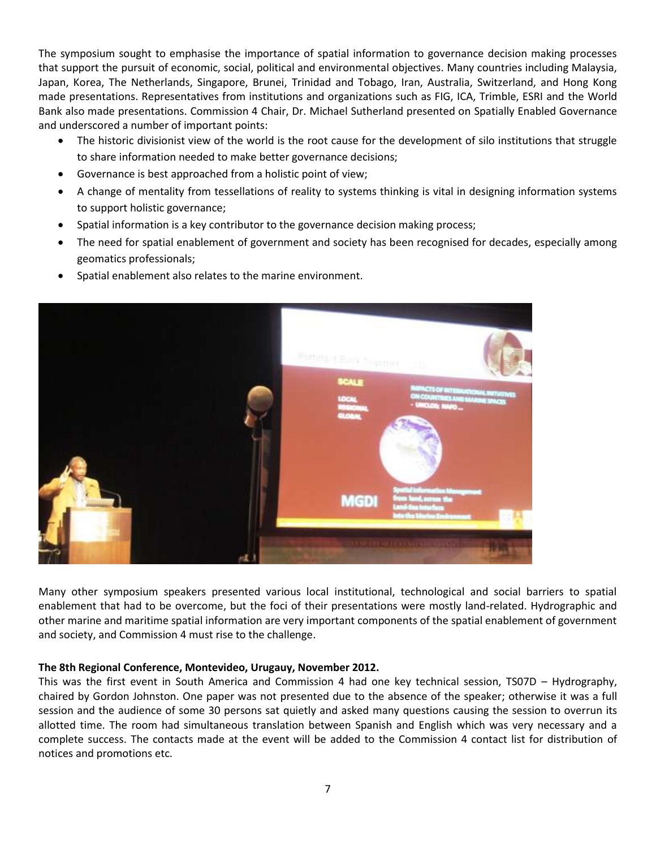The symposium sought to emphasise the importance of spatial information to governance decision making processes that support the pursuit of economic, social, political and environmental objectives. Many countries including Malaysia, Japan, Korea, The Netherlands, Singapore, Brunei, Trinidad and Tobago, Iran, Australia, Switzerland, and Hong Kong made presentations. Representatives from institutions and organizations such as FIG, ICA, Trimble, ESRI and the World Bank also made presentations. Commission 4 Chair, Dr. Michael Sutherland presented on Spatially Enabled Governance and underscored a number of important points:

- The historic divisionist view of the world is the root cause for the development of silo institutions that struggle to share information needed to make better governance decisions;
- Governance is best approached from a holistic point of view;
- A change of mentality from tessellations of reality to systems thinking is vital in designing information systems to support holistic governance;
- Spatial information is a key contributor to the governance decision making process;
- The need for spatial enablement of government and society has been recognised for decades, especially among geomatics professionals;





Many other symposium speakers presented various local institutional, technological and social barriers to spatial enablement that had to be overcome, but the foci of their presentations were mostly land-related. Hydrographic and other marine and maritime spatial information are very important components of the spatial enablement of government and society, and Commission 4 must rise to the challenge.

#### **The 8th Regional Conference, Montevideo, Urugauy, November 2012.**

This was the first event in South America and Commission 4 had one key technical session, TS07D – Hydrography, chaired by Gordon Johnston. One paper was not presented due to the absence of the speaker; otherwise it was a full session and the audience of some 30 persons sat quietly and asked many questions causing the session to overrun its allotted time. The room had simultaneous translation between Spanish and English which was very necessary and a complete success. The contacts made at the event will be added to the Commission 4 contact list for distribution of notices and promotions etc.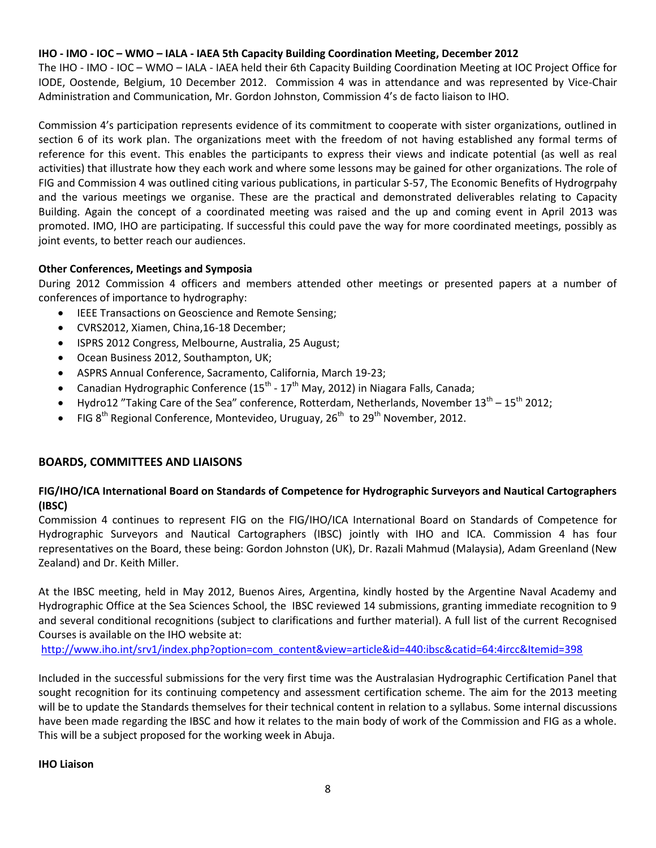## **IHO - IMO - IOC – WMO – IALA - IAEA 5th Capacity Building Coordination Meeting, December 2012**

The IHO - IMO - IOC – WMO – IALA - IAEA held their 6th Capacity Building Coordination Meeting at IOC Project Office for IODE, Oostende, Belgium, 10 December 2012. Commission 4 was in attendance and was represented by Vice-Chair Administration and Communication, Mr. Gordon Johnston, Commission 4's de facto liaison to IHO.

Commission 4's participation represents evidence of its commitment to cooperate with sister organizations, outlined in section 6 of its work plan. The organizations meet with the freedom of not having established any formal terms of reference for this event. This enables the participants to express their views and indicate potential (as well as real activities) that illustrate how they each work and where some lessons may be gained for other organizations. The role of FIG and Commission 4 was outlined citing various publications, in particular S-57, The Economic Benefits of Hydrogrpahy and the various meetings we organise. These are the practical and demonstrated deliverables relating to Capacity Building. Again the concept of a coordinated meeting was raised and the up and coming event in April 2013 was promoted. IMO, IHO are participating. If successful this could pave the way for more coordinated meetings, possibly as joint events, to better reach our audiences.

## **Other Conferences, Meetings and Symposia**

During 2012 Commission 4 officers and members attended other meetings or presented papers at a number of conferences of importance to hydrography:

- **IEEE Transactions on Geoscience and Remote Sensing;**
- CVRS2012, Xiamen, China,16-18 December;
- ISPRS 2012 Congress, Melbourne, Australia, 25 August;
- Ocean Business 2012, Southampton, UK;
- ASPRS Annual Conference, Sacramento, California, March 19-23;
- Canadian Hydrographic Conference (15<sup>th</sup> 17<sup>th</sup> May, 2012) in Niagara Falls, Canada;
- Hydro12 "Taking Care of the Sea" conference, Rotterdam, Netherlands, November  $13^{th}$   $15^{th}$  2012;
- FIG  $8<sup>th</sup>$  Regional Conference, Montevideo, Uruguay,  $26<sup>th</sup>$  to  $29<sup>th</sup>$  November, 2012.

## **BOARDS, COMMITTEES AND LIAISONS**

# **FIG/IHO/ICA International Board on Standards of Competence for Hydrographic Surveyors and Nautical Cartographers (IBSC)**

Commission 4 continues to represent FIG on the FIG/IHO/ICA International Board on Standards of Competence for Hydrographic Surveyors and Nautical Cartographers (IBSC) jointly with IHO and ICA. Commission 4 has four representatives on the Board, these being: Gordon Johnston (UK), Dr. Razali Mahmud (Malaysia), Adam Greenland (New Zealand) and Dr. Keith Miller.

At the IBSC meeting, held in May 2012, Buenos Aires, Argentina, kindly hosted by the Argentine Naval Academy and Hydrographic Office at the Sea Sciences School, the IBSC reviewed 14 submissions, granting immediate recognition to 9 and several conditional recognitions (subject to clarifications and further material). A full list of the current Recognised Courses is available on the IHO website at:

[http://www.iho.int/srv1/index.php?option=com\\_content&view=article&id=440:ibsc&catid=64:4ircc&Itemid=398](http://www.iho.int/srv1/index.php?option=com_content&view=article&id=440:ibsc&catid=64:4ircc&Itemid=398)

Included in the successful submissions for the very first time was the Australasian Hydrographic Certification Panel that sought recognition for its continuing competency and assessment certification scheme. The aim for the 2013 meeting will be to update the Standards themselves for their technical content in relation to a syllabus. Some internal discussions have been made regarding the IBSC and how it relates to the main body of work of the Commission and FIG as a whole. This will be a subject proposed for the working week in Abuja.

## **IHO Liaison**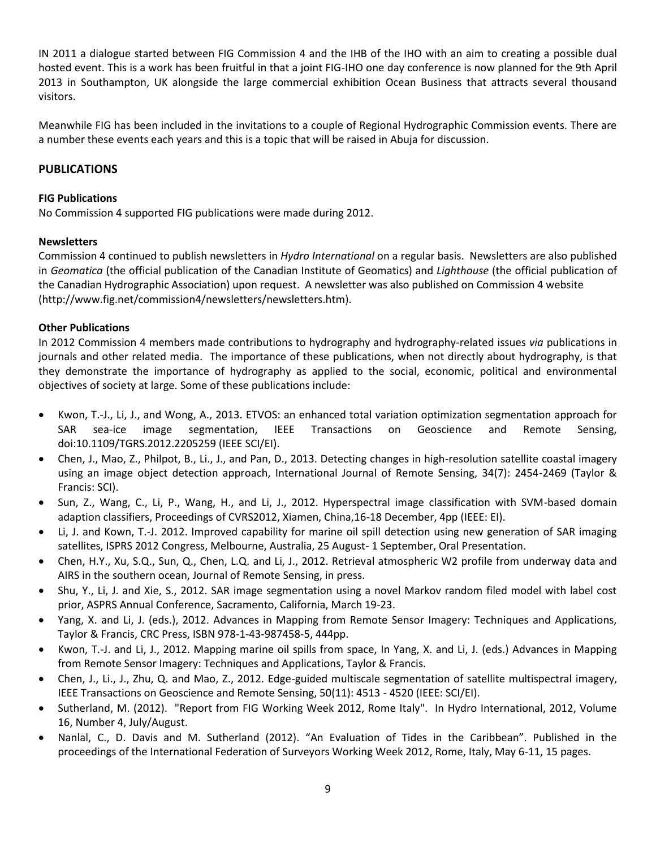IN 2011 a dialogue started between FIG Commission 4 and the IHB of the IHO with an aim to creating a possible dual hosted event. This is a work has been fruitful in that a joint FIG-IHO one day conference is now planned for the 9th April 2013 in Southampton, UK alongside the large commercial exhibition Ocean Business that attracts several thousand visitors.

Meanwhile FIG has been included in the invitations to a couple of Regional Hydrographic Commission events. There are a number these events each years and this is a topic that will be raised in Abuja for discussion.

## **PUBLICATIONS**

#### **FIG Publications**

No Commission 4 supported FIG publications were made during 2012.

## **Newsletters**

Commission 4 continued to publish newsletters in *Hydro International* on a regular basis. Newsletters are also published in *Geomatica* (the official publication of the Canadian Institute of Geomatics) and *Lighthouse* (the official publication of the Canadian Hydrographic Association) upon request. A newsletter was also published on Commission 4 website (http://www.fig.net/commission4/newsletters/newsletters.htm).

#### **Other Publications**

In 2012 Commission 4 members made contributions to hydrography and hydrography-related issues *via* publications in journals and other related media. The importance of these publications, when not directly about hydrography, is that they demonstrate the importance of hydrography as applied to the social, economic, political and environmental objectives of society at large. Some of these publications include:

- Kwon, T.-J., Li, J., and Wong, A., 2013. ETVOS: an enhanced total variation optimization segmentation approach for SAR sea-ice image segmentation, IEEE Transactions on Geoscience and Remote Sensing, doi:10.1109/TGRS.2012.2205259 (IEEE SCI/EI).
- Chen, J., Mao, Z., Philpot, B., Li., J., and Pan, D., 2013. Detecting changes in high-resolution satellite coastal imagery using an image object detection approach, International Journal of Remote Sensing, 34(7): 2454-2469 (Taylor & Francis: SCI).
- Sun, Z., Wang, C., Li, P., Wang, H., and Li, J., 2012. Hyperspectral image classification with SVM-based domain adaption classifiers, Proceedings of CVRS2012, Xiamen, China,16-18 December, 4pp (IEEE: EI).
- Li, J. and Kown, T.-J. 2012. Improved capability for marine oil spill detection using new generation of SAR imaging satellites, ISPRS 2012 Congress, Melbourne, Australia, 25 August- 1 September, Oral Presentation.
- Chen, H.Y., Xu, S.Q., Sun, Q., Chen, L.Q. and Li, J., 2012. Retrieval atmospheric W2 profile from underway data and AIRS in the southern ocean, Journal of Remote Sensing, in press.
- Shu, Y., Li, J. and Xie, S., 2012. SAR image segmentation using a novel Markov random filed model with label cost prior, ASPRS Annual Conference, Sacramento, California, March 19-23.
- Yang, X. and Li, J. (eds.), 2012. Advances in Mapping from Remote Sensor Imagery: Techniques and Applications, Taylor & Francis, CRC Press, ISBN 978-1-43-987458-5, 444pp.
- Kwon, T.-J. and Li, J., 2012. Mapping marine oil spills from space, In Yang, X. and Li, J. (eds.) Advances in Mapping from Remote Sensor Imagery: Techniques and Applications, Taylor & Francis.
- Chen, J., Li., J., Zhu, Q. and Mao, Z., 2012. Edge-guided multiscale segmentation of satellite multispectral imagery, IEEE Transactions on Geoscience and Remote Sensing, 50(11): 4513 - 4520 (IEEE: SCI/EI).
- Sutherland, M. (2012). "Report from FIG Working Week 2012, Rome Italy". In Hydro International, 2012, Volume 16, Number 4, July/August.
- Nanlal, C., D. Davis and M. Sutherland (2012). "An Evaluation of Tides in the Caribbean". Published in the proceedings of the International Federation of Surveyors Working Week 2012, Rome, Italy, May 6-11, 15 pages.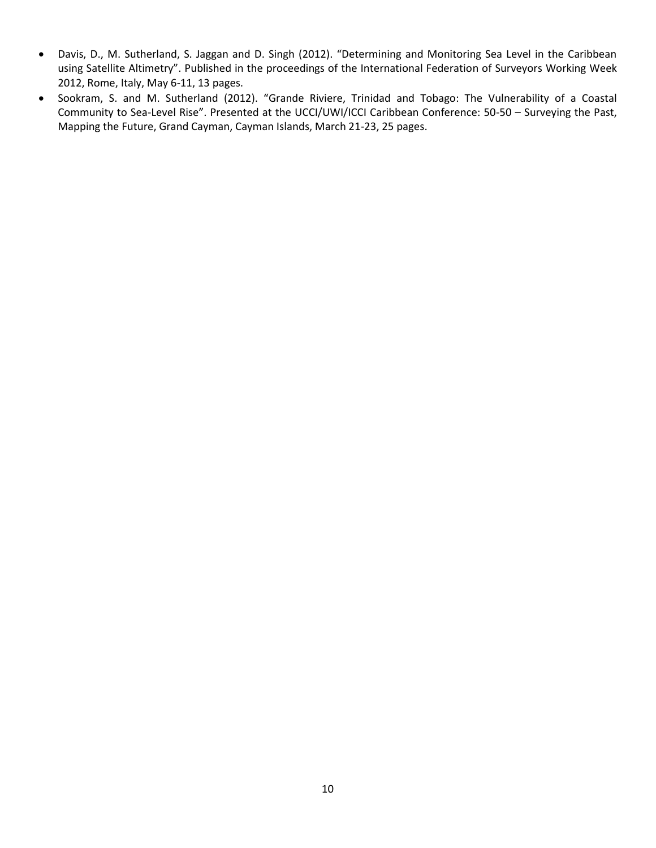- Davis, D., M. Sutherland, S. Jaggan and D. Singh (2012). "Determining and Monitoring Sea Level in the Caribbean using Satellite Altimetry". Published in the proceedings of the International Federation of Surveyors Working Week 2012, Rome, Italy, May 6-11, 13 pages.
- Sookram, S. and M. Sutherland (2012). "Grande Riviere, Trinidad and Tobago: The Vulnerability of a Coastal Community to Sea-Level Rise". Presented at the UCCI/UWI/ICCI Caribbean Conference: 50-50 – Surveying the Past, Mapping the Future, Grand Cayman, Cayman Islands, March 21-23, 25 pages.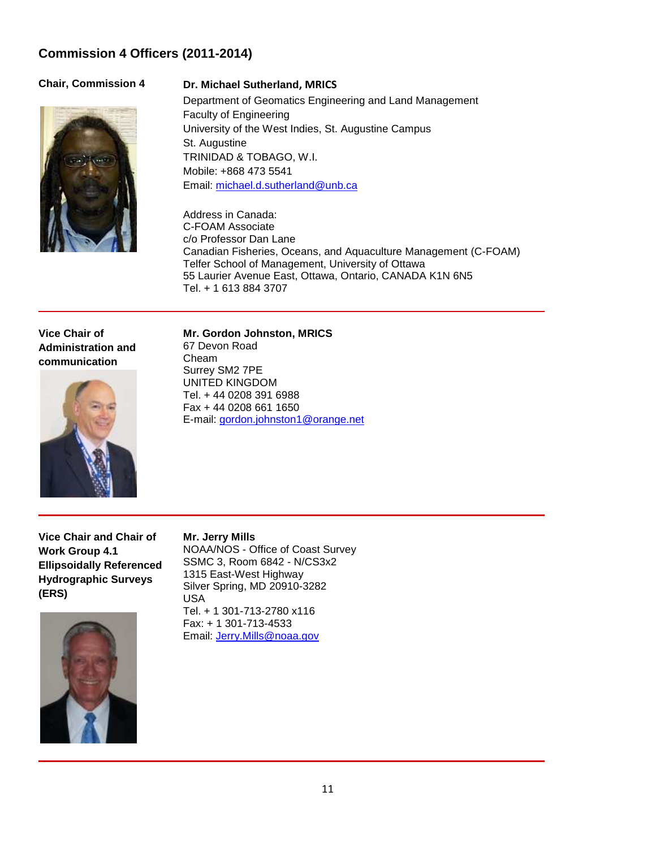# **Commission 4 Officers (2011-2014)**



## **Chair, Commission 4 Dr. Michael Sutherland, MRICS**

Department of Geomatics Engineering and Land Management Faculty of Engineering University of the West Indies, St. Augustine Campus St. Augustine TRINIDAD & TOBAGO, W.I. Mobile: +868 473 5541 Email: [michael.d.sutherland@unb.ca](mailto:michael.d.sutherland@unb.ca)

Address in Canada: C-FOAM Associate c/o Professor Dan Lane Canadian Fisheries, Oceans, and Aquaculture Management (C-FOAM) Telfer School of Management, University of Ottawa 55 Laurier Avenue East, Ottawa, Ontario, CANADA K1N 6N5 Tel. + 1 613 884 3707

**Vice Chair of Administration and communication**



**Mr. Gordon Johnston, MRICS**

67 Devon Road Cheam Surrey SM2 7PE UNITED KINGDOM Tel. + 44 0208 391 6988 Fax + 44 0208 661 1650 E-mail: [gordon.johnston1@orange.net](mailto:gordon.johnston1@orange.net)

**Vice Chair and Chair of Work Group 4.1 Ellipsoidally Referenced Hydrographic Surveys (ERS)**



## **Mr. Jerry Mills**

NOAA/NOS - Office of Coast Survey SSMC 3, Room 6842 - N/CS3x2 1315 East-West Highway Silver Spring, MD 20910-3282 USA Tel. + 1 301-713-2780 x116 Fax: + 1 301-713-4533

Email: [Jerry.Mills@noaa.gov](mailto:Jerry.Mills@noaa.gov)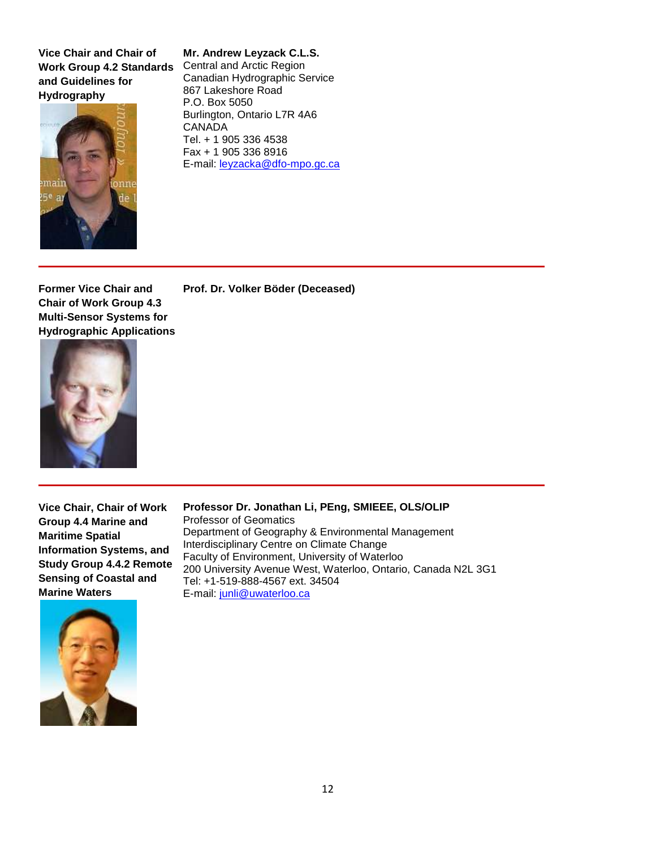**Vice Chair and Chair of Work Group 4.2 Standards and Guidelines for Hydrography** 



## **Mr. Andrew Leyzack C.L.S.**

Central and Arctic Region Canadian Hydrographic Service 867 Lakeshore Road P.O. Box 5050 Burlington, Ontario L7R 4A6 CANADA Tel. + 1 905 336 4538 Fax + 1 905 336 8916 E-mail: [leyzacka@dfo-mpo.gc.ca](mailto:leyzacka@dfo-mpo.gc.ca)

**Prof. Dr. Volker Böder (Deceased)**

**Former Vice Chair and Chair of Work Group 4.3 Multi-Sensor Systems for Hydrographic Applications** 



**Vice Chair, Chair of Work Group 4.4 Marine and Maritime Spatial Information Systems, and Study Group 4.4.2 Remote Sensing of Coastal and Marine Waters** 

**Professor Dr. Jonathan Li, PEng, SMIEEE, OLS/OLIP** Professor of Geomatics Department of Geography & Environmental Management Interdisciplinary Centre on Climate Change Faculty of Environment, University of Waterloo 200 University Avenue West, Waterloo, Ontario, Canada N2L 3G1 Tel: +1-519-888-4567 ext. 34504 E-mail: [junli@uwaterloo.ca](mailto:junli@uwaterloo.ca)